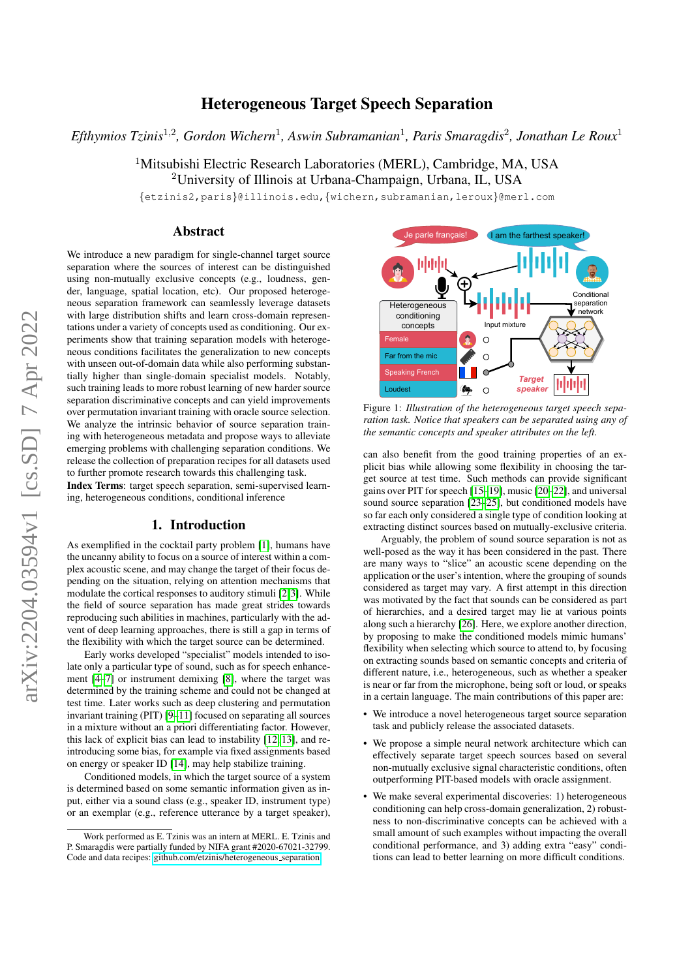# Heterogeneous Target Speech Separation

*Efthymios Tzinis*<sup>1</sup>,<sup>2</sup> *, Gordon Wichern*<sup>1</sup> *, Aswin Subramanian*<sup>1</sup> *, Paris Smaragdis*<sup>2</sup> *, Jonathan Le Roux*<sup>1</sup>

<sup>1</sup>Mitsubishi Electric Research Laboratories (MERL), Cambridge, MA, USA <sup>2</sup>University of Illinois at Urbana-Champaign, Urbana, IL, USA

{etzinis2,paris}@illinois.edu,{wichern,subramanian,leroux}@merl.com

## Abstract

We introduce a new paradigm for single-channel target source separation where the sources of interest can be distinguished using non-mutually exclusive concepts (e.g., loudness, gender, language, spatial location, etc). Our proposed heterogeneous separation framework can seamlessly leverage datasets with large distribution shifts and learn cross-domain representations under a variety of concepts used as conditioning. Our experiments show that training separation models with heterogeneous conditions facilitates the generalization to new concepts with unseen out-of-domain data while also performing substantially higher than single-domain specialist models. Notably, such training leads to more robust learning of new harder source separation discriminative concepts and can yield improvements over permutation invariant training with oracle source selection. We analyze the intrinsic behavior of source separation training with heterogeneous metadata and propose ways to alleviate emerging problems with challenging separation conditions. We release the collection of preparation recipes for all datasets used to further promote research towards this challenging task.

Index Terms: target speech separation, semi-supervised learning, heterogeneous conditions, conditional inference

#### 1. Introduction

As exemplified in the cocktail party problem [\[1\]](#page-4-0), humans have the uncanny ability to focus on a source of interest within a complex acoustic scene, and may change the target of their focus depending on the situation, relying on attention mechanisms that modulate the cortical responses to auditory stimuli [\[2,](#page-4-1)[3\]](#page-4-2). While the field of source separation has made great strides towards reproducing such abilities in machines, particularly with the advent of deep learning approaches, there is still a gap in terms of the flexibility with which the target source can be determined.

Early works developed "specialist" models intended to isolate only a particular type of sound, such as for speech enhancement [\[4](#page-4-3)[–7\]](#page-4-4) or instrument demixing [\[8\]](#page-4-5), where the target was determined by the training scheme and could not be changed at test time. Later works such as deep clustering and permutation invariant training (PIT) [\[9–](#page-4-6)[11\]](#page-4-7) focused on separating all sources in a mixture without an a priori differentiating factor. However, this lack of explicit bias can lead to instability [\[12,](#page-4-8) [13\]](#page-4-9), and reintroducing some bias, for example via fixed assignments based on energy or speaker ID [\[14\]](#page-4-10), may help stabilize training.

Conditioned models, in which the target source of a system is determined based on some semantic information given as input, either via a sound class (e.g., speaker ID, instrument type) or an exemplar (e.g., reference utterance by a target speaker),



Figure 1: *Illustration of the heterogeneous target speech separation task. Notice that speakers can be separated using any of the semantic concepts and speaker attributes on the left.*

can also benefit from the good training properties of an explicit bias while allowing some flexibility in choosing the target source at test time. Such methods can provide significant gains over PIT for speech [\[15–](#page-4-11)[19\]](#page-4-12), music [\[20](#page-4-13)[–22\]](#page-4-14), and universal sound source separation [\[23–](#page-4-15)[25\]](#page-4-16), but conditioned models have so far each only considered a single type of condition looking at extracting distinct sources based on mutually-exclusive criteria.

Arguably, the problem of sound source separation is not as well-posed as the way it has been considered in the past. There are many ways to "slice" an acoustic scene depending on the application or the user's intention, where the grouping of sounds considered as target may vary. A first attempt in this direction was motivated by the fact that sounds can be considered as part of hierarchies, and a desired target may lie at various points along such a hierarchy [\[26\]](#page-4-17). Here, we explore another direction, by proposing to make the conditioned models mimic humans' flexibility when selecting which source to attend to, by focusing on extracting sounds based on semantic concepts and criteria of different nature, i.e., heterogeneous, such as whether a speaker is near or far from the microphone, being soft or loud, or speaks in a certain language. The main contributions of this paper are:

- We introduce a novel heterogeneous target source separation task and publicly release the associated datasets.
- We propose a simple neural network architecture which can effectively separate target speech sources based on several non-mutually exclusive signal characteristic conditions, often outperforming PIT-based models with oracle assignment.
- We make several experimental discoveries: 1) heterogeneous conditioning can help cross-domain generalization, 2) robustness to non-discriminative concepts can be achieved with a small amount of such examples without impacting the overall conditional performance, and 3) adding extra "easy" conditions can lead to better learning on more difficult conditions.

Work performed as E. Tzinis was an intern at MERL. E. Tzinis and P. Smaragdis were partially funded by NIFA grant #2020-67021-32799. Code and data recipes: [github.com/etzinis/heterogeneous](https://github.com/etzinis/heterogeneous_separation) separation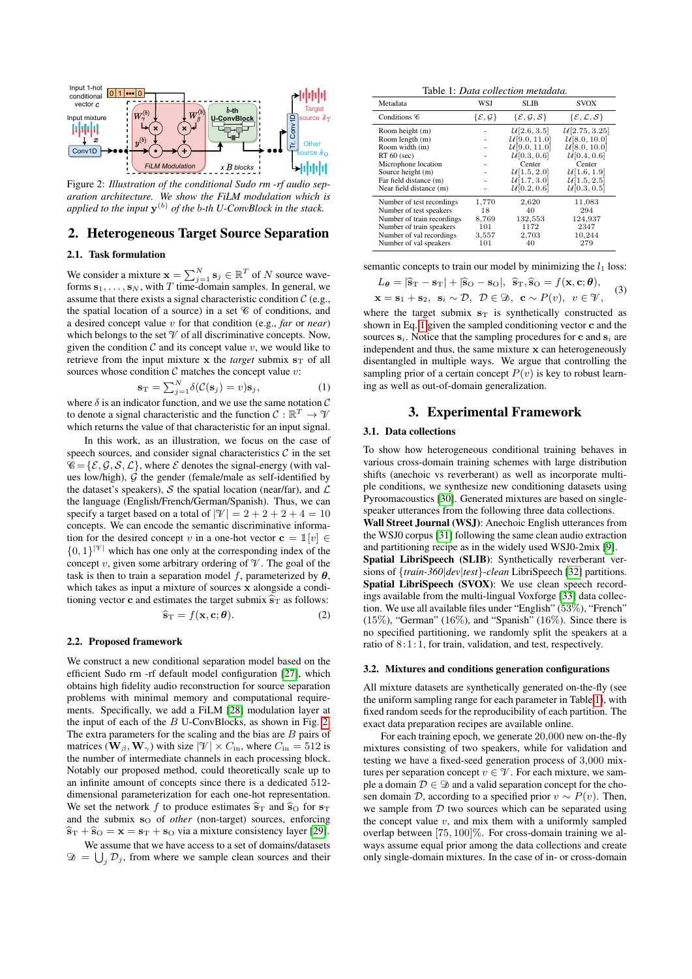<span id="page-1-0"></span>

Figure 2: *Illustration of the conditional Sudo rm -rf audio separation architecture. We show the FiLM modulation which is applied to the input* y (b) *of the* b*-th U-ConvBlock in the stack.*

# 2. Heterogeneous Target Source Separation

#### 2.1. Task formulation

We consider a mixture  $\mathbf{x} = \sum_{j=1}^{N} \mathbf{s}_j \in \mathbb{R}^T$  of N source waveforms  $s_1, \ldots, s_N$ , with T time-domain samples. In general, we assume that there exists a signal characteristic condition  $C$  (e.g., the spatial location of a source) in a set  $C$  of conditions, and a desired concept value v for that condition (e.g., *far* or *near*) which belongs to the set  $\mathcal V$  of all discriminative concepts. Now, given the condition  $C$  and its concept value  $v$ , we would like to retrieve from the input mixture  $x$  the *target* submix  $s_T$  of all sources whose condition  $C$  matches the concept value  $v$ :

<span id="page-1-1"></span>
$$
\mathbf{s}_{\mathrm{T}} = \sum_{j=1}^{N} \delta(\mathcal{C}(\mathbf{s}_{j}) = v)\mathbf{s}_{j}, \qquad (1)
$$

where  $\delta$  is an indicator function, and we use the same notation  $\mathcal C$ to denote a signal characteristic and the function  $C : \mathbb{R}^T \to \mathcal{V}$ which returns the value of that characteristic for an input signal.

In this work, as an illustration, we focus on the case of speech sources, and consider signal characteristics  $C$  in the set  $\mathscr{C} = {\mathcal{E}, \mathcal{G}, \mathcal{S}, \mathcal{L}}$ , where  $\mathcal E$  denotes the signal-energy (with values low/high),  $G$  the gender (female/male as self-identified by the dataset's speakers), S the spatial location (near/far), and  $\mathcal L$ the language (English/French/German/Spanish). Thus, we can specify a target based on a total of  $|\mathcal{V}| = 2 + 2 + 2 + 4 = 10$ concepts. We can encode the semantic discriminative information for the desired concept v in a one-hot vector  $\mathbf{c} = \mathbb{1}[v] \in$  ${0, 1}^{|V|}$  which has one only at the corresponding index of the concept v, given some arbitrary ordering of  $\mathcal V$ . The goal of the task is then to train a separation model f, parameterized by  $\theta$ , which takes as input a mixture of sources x alongside a conditioning vector **c** and estimates the target submix  $\hat{\mathbf{s}}_T$  as follows:

$$
\widehat{\mathbf{s}}_{\mathrm{T}} = f(\mathbf{x}, \mathbf{c}; \boldsymbol{\theta}). \tag{2}
$$

#### <span id="page-1-3"></span>2.2. Proposed framework

We construct a new conditional separation model based on the efficient Sudo rm -rf default model configuration [\[27\]](#page-4-18), which obtains high fidelity audio reconstruction for source separation problems with minimal memory and computational requirements. Specifically, we add a FiLM [\[28\]](#page-4-19) modulation layer at the input of each of the  $B$  U-ConvBlocks, as shown in Fig. [2.](#page-1-0) The extra parameters for the scaling and the bias are  $B$  pairs of matrices ( $\mathbf{W}_{\beta}, \mathbf{W}_{\gamma}$ ) with size  $|\mathcal{V}| \times C_{\text{in}}$ , where  $C_{\text{in}} = 512$  is the number of intermediate channels in each processing block. Notably our proposed method, could theoretically scale up to an infinite amount of concepts since there is a dedicated 512 dimensional parameterization for each one-hot representation. We set the network f to produce estimates  $\hat{s}_{T}$  and  $\hat{s}_{O}$  for  $s_{T}$ and the submix s<sub>O</sub> of *other* (non-target) sources, enforcing  $\hat{\mathbf{s}}_T + \hat{\mathbf{s}}_O = \mathbf{x} = \mathbf{s}_T + \mathbf{s}_O$  via a mixture consistency layer [\[29\]](#page-4-20).

We assume that we have access to a set of domains/datasets  $\mathcal{D} = \bigcup_j \mathcal{D}_j$ , from where we sample clean sources and their

Table 1: *Data collection metadata.*

<span id="page-1-2"></span>

| Metadata                   | WSJ                            | SLIB                                         | <b>SVOX</b>                                  |
|----------------------------|--------------------------------|----------------------------------------------|----------------------------------------------|
| Conditions $\mathscr C$    | $\{\mathcal{E},\mathcal{G}\}\$ | $\{\mathcal{E}, \mathcal{G}, \mathcal{S}\}\$ | $\{\mathcal{E}, \mathcal{L}, \mathcal{S}\}\$ |
| Room height (m)            |                                | $\mathcal{U}[2.6, 3.5]$                      | $\mathcal{U}[2.75, 3.25]$                    |
| Room length (m)            |                                | U[9.0, 11.0]                                 | U[8.0, 10.0]                                 |
| Room width (m)             |                                | U[9.0, 11.0]                                 | U[8.0, 10.0]                                 |
| $RT 60$ (sec)              |                                | U[0.3, 0.6]                                  | U[0.4, 0.6]                                  |
| Microphone location        |                                | Center                                       | Center                                       |
| Source height (m)          |                                | U[1.5, 2.0]                                  | U[1.6, 1.9]                                  |
| Far field distance (m)     |                                | U[1.7, 3.0]                                  | U[1.5, 2.5]                                  |
| Near field distance (m)    |                                | U[0.2, 0.6]                                  | U[0.3, 0.5]                                  |
| Number of test recordings  | 1,770                          | 2,620                                        | 11,083                                       |
| Number of test speakers    | 18                             | 40                                           | 294                                          |
| Number of train recordings | 8,769                          | 132,553                                      | 124,937                                      |
| Number of train speakers   | 101                            | 1172                                         | 2347                                         |
| Number of val recordings   | 3,557                          | 2,703                                        | 10,244                                       |
| Number of val speakers     | 101                            | 40                                           | 279                                          |

semantic concepts to train our model by minimizing the  $l_1$  loss:

<span id="page-1-4"></span>
$$
L_{\theta} = |\hat{\mathbf{s}}_{\mathrm{T}} - \mathbf{s}_{\mathrm{T}}| + |\hat{\mathbf{s}}_{\mathrm{O}} - \mathbf{s}_{\mathrm{O}}|, \ \hat{\mathbf{s}}_{\mathrm{T}}, \hat{\mathbf{s}}_{\mathrm{O}} = f(\mathbf{x}, \mathbf{c}; \theta),
$$
  

$$
\mathbf{x} = \mathbf{s}_{1} + \mathbf{s}_{2}, \ \mathbf{s}_{i} \sim \mathcal{D}, \ \mathcal{D} \in \mathcal{D}, \ \mathbf{c} \sim P(v), \ v \in \mathcal{V}, \tag{3}
$$

where the target submix  $s<sub>T</sub>$  is synthetically constructed as shown in Eq. [1](#page-1-1) given the sampled conditioning vector c and the sources  $s_i$ . Notice that the sampling procedures for c and  $s_i$  are independent and thus, the same mixture  $x$  can heterogeneously disentangled in multiple ways. We argue that controlling the sampling prior of a certain concept  $P(v)$  is key to robust learning as well as out-of-domain generalization.

# 3. Experimental Framework

#### 3.1. Data collections

To show how heterogeneous conditional training behaves in various cross-domain training schemes with large distribution shifts (anechoic vs reverberant) as well as incorporate multiple conditions, we synthesize new conditioning datasets using Pyroomacoustics [\[30\]](#page-4-21). Generated mixtures are based on singlespeaker utterances from the following three data collections. Wall Street Journal (WSJ): Anechoic English utterances from the WSJ0 corpus [\[31\]](#page-4-22) following the same clean audio extraction and partitioning recipe as in the widely used WSJ0-2mix [\[9\]](#page-4-6). Spatial LibriSpeech (SLIB): Synthetically reverberant versions of {*train-360*|*dev*|*test*}-*clean* LibriSpeech [\[32\]](#page-4-23) partitions. Spatial LibriSpeech (SVOX): We use clean speech recordings available from the multi-lingual Voxforge [\[33\]](#page-4-24) data collection. We use all available files under "English" (53%), "French"  $(15\%)$ , "German"  $(16\%)$ , and "Spanish"  $(16\%)$ . Since there is no specified partitioning, we randomly split the speakers at a ratio of 8: 1: 1, for train, validation, and test, respectively.

#### 3.2. Mixtures and conditions generation configurations

All mixture datasets are synthetically generated on-the-fly (see the uniform sampling range for each parameter in Table [1\)](#page-1-2), with fixed random seeds for the reproducibility of each partition. The exact data preparation recipes are available online.

For each training epoch, we generate 20,000 new on-the-fly mixtures consisting of two speakers, while for validation and testing we have a fixed-seed generation process of 3,000 mixtures per separation concept  $v \in \mathcal{V}$ . For each mixture, we sample a domain  $\mathcal{D} \in \mathcal{D}$  and a valid separation concept for the chosen domain D, according to a specified prior  $v \sim P(v)$ . Then, we sample from  $D$  two sources which can be separated using the concept value  $v$ , and mix them with a uniformly sampled overlap between [75, 100]%. For cross-domain training we always assume equal prior among the data collections and create only single-domain mixtures. In the case of in- or cross-domain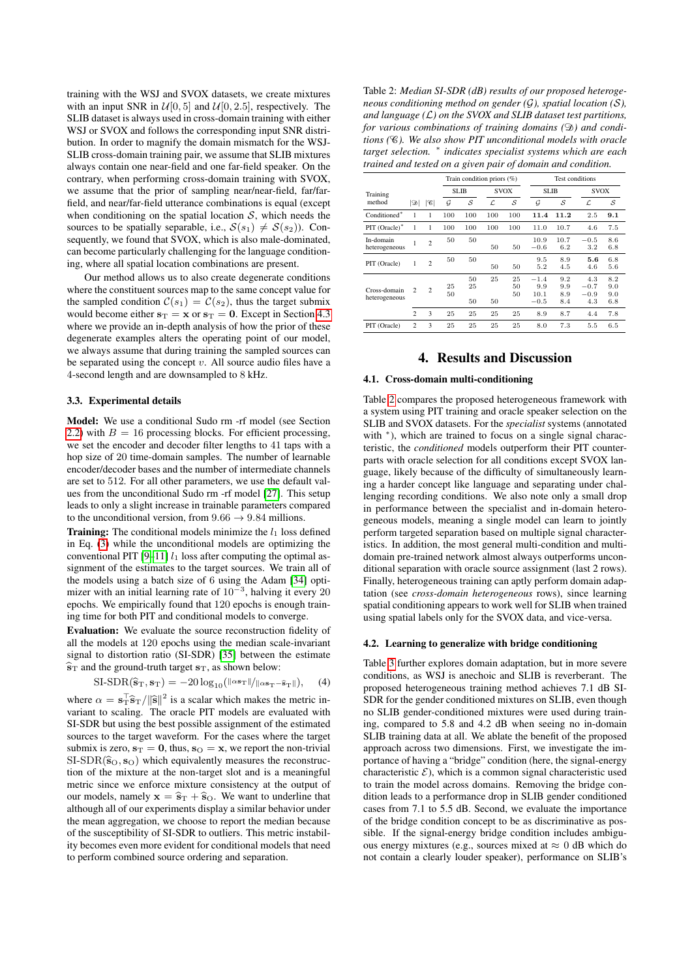training with the WSJ and SVOX datasets, we create mixtures with an input SNR in  $\mathcal{U}[0, 5]$  and  $\mathcal{U}[0, 2.5]$ , respectively. The SLIB dataset is always used in cross-domain training with either WSJ or SVOX and follows the corresponding input SNR distribution. In order to magnify the domain mismatch for the WSJ-SLIB cross-domain training pair, we assume that SLIB mixtures always contain one near-field and one far-field speaker. On the contrary, when performing cross-domain training with SVOX, we assume that the prior of sampling near/near-field, far/farfield, and near/far-field utterance combinations is equal (except when conditioning on the spatial location  $S$ , which needs the sources to be spatially separable, i.e.,  $S(s_1) \neq S(s_2)$ ). Consequently, we found that SVOX, which is also male-dominated, can become particularly challenging for the language conditioning, where all spatial location combinations are present.

Our method allows us to also create degenerate conditions where the constituent sources map to the same concept value for the sampled condition  $C(s_1) = C(s_2)$ , thus the target submix would become either  $s_T = x$  or  $s_T = 0$ . Except in Section [4.3](#page-3-0) where we provide an in-depth analysis of how the prior of these degenerate examples alters the operating point of our model, we always assume that during training the sampled sources can be separated using the concept  $v$ . All source audio files have a 4-second length and are downsampled to 8 kHz.

#### 3.3. Experimental details

Model: We use a conditional Sudo rm -rf model (see Section [2.2\)](#page-1-3) with  $B = 16$  processing blocks. For efficient processing, we set the encoder and decoder filter lengths to 41 taps with a hop size of 20 time-domain samples. The number of learnable encoder/decoder bases and the number of intermediate channels are set to 512. For all other parameters, we use the default values from the unconditional Sudo rm -rf model [\[27\]](#page-4-18). This setup leads to only a slight increase in trainable parameters compared to the unconditional version, from  $9.66 \rightarrow 9.84$  millions.

**Training:** The conditional models minimize the  $l_1$  loss defined in Eq. [\(3\)](#page-1-4) while the unconditional models are optimizing the conventional PIT [\[9–](#page-4-6)[11\]](#page-4-7)  $l_1$  loss after computing the optimal assignment of the estimates to the target sources. We train all of the models using a batch size of 6 using the Adam [\[34\]](#page-4-25) optimizer with an initial learning rate of  $10^{-3}$ , halving it every 20 epochs. We empirically found that 120 epochs is enough training time for both PIT and conditional models to converge.

Evaluation: We evaluate the source reconstruction fidelity of all the models at 120 epochs using the median scale-invariant signal to distortion ratio (SI-SDR) [\[35\]](#page-4-26) between the estimate  $\hat{s}_{\text{T}}$  and the ground-truth target  $s_{\text{T}}$ , as shown below:

SI-SDR(
$$
\hat{\mathbf{s}}_T
$$
,  $\mathbf{s}_T$ ) = -20 log<sub>10</sub>( $\|\alpha \mathbf{s}_T\| / \|\alpha \mathbf{s}_T - \hat{\mathbf{s}}_T\|$ ), (4)

where  $\alpha = s_T^T \hat{s}_T / ||\hat{s}||^2$  is a scalar which makes the metric in-<br>variant to scaling. The oracle PIT models are evaluated with variant to scaling. The oracle PIT models are evaluated with SI-SDR but using the best possible assignment of the estimated sources to the target waveform. For the cases where the target submix is zero,  $s_T = 0$ , thus,  $s_O = x$ , we report the non-trivial  $SI-SDR(\hat{s}_O, s_O)$  which equivalently measures the reconstruction of the mixture at the non-target slot and is a meaningful metric since we enforce mixture consistency at the output of our models, namely  $\mathbf{x} = \hat{\mathbf{s}}_T + \hat{\mathbf{s}}_O$ . We want to underline that although all of our experiments display a similar behavior under the mean aggregation, we choose to report the median because of the susceptibility of SI-SDR to outliers. This metric instability becomes even more evident for conditional models that need to perform combined source ordering and separation.

<span id="page-2-0"></span>Table 2: *Median SI-SDR (dB) results of our proposed heterogeneous conditioning method on gender (*G*), spatial location (*S*), and language (*L*) on the SVOX and SLIB dataset test partitions, for various combinations of training domains* ( $\mathcal{D}$ ) and condi*tions (*C*). We also show PIT unconditional models with oracle target selection.* <sup>∗</sup> *indicates specialist systems which are each trained and tested on a given pair of domain and condition.*

|                               |                |                 |              | Train condition priors (%) |             |                |                                 | <b>Test conditions</b>   |                                |                          |  |
|-------------------------------|----------------|-----------------|--------------|----------------------------|-------------|----------------|---------------------------------|--------------------------|--------------------------------|--------------------------|--|
| Training                      |                |                 | <b>SLIB</b>  |                            | <b>SVOX</b> |                | <b>SLIB</b>                     |                          | <b>SVOX</b>                    |                          |  |
| method                        | வ              | $ \mathscr{C} $ | $\mathcal G$ | S                          | L           | S              | $\mathcal G$                    | S                        | L                              | S                        |  |
| Conditioned*                  | 1              | 1               | 100          | 100                        | 100         | 100            | 11.4                            | 11.2                     | 2.5                            | 9.1                      |  |
| PIT (Oracle)*                 | 1              | 1               | 100          | 100                        | 100         | 100            | 11.0                            | 10.7                     | 4.6                            | 7.5                      |  |
| In-domain<br>heterogeneous    | 1              | $\overline{c}$  | 50           | 50                         | 50          | 50             | 10.9<br>$-0.6$                  | 10.7<br>6.2              | $-0.5$<br>3.2                  | 8.6<br>6.8               |  |
| PIT (Oracle)                  | 1              | $\overline{c}$  | 50           | 50                         | 50          | 50             | 9.5<br>5.2                      | 8.9<br>4.5               | 5.6<br>4.6                     | 6.8<br>5.6               |  |
| Cross-domain<br>heterogeneous | $\overline{c}$ | $\overline{c}$  | 25<br>50     | 50<br>25<br>50             | 25<br>50    | 25<br>50<br>50 | $-1.4$<br>9.9<br>10.1<br>$-0.5$ | 9.2<br>9.9<br>8.9<br>8.4 | 4.3<br>$-0.7$<br>$-0.9$<br>4.3 | 8.2<br>9.0<br>9.0<br>6.8 |  |
|                               | $\overline{c}$ | 3               | 25           | 25                         | 25          | 25             | 8.9                             | 8.7                      | 4.4                            | 7.8                      |  |
| PIT (Oracle)                  | $\overline{2}$ | 3               | 25           | 25                         | 25          | 25             | 8.0                             | 7.3                      | 5.5                            | 6.5                      |  |

## 4. Results and Discussion

### 4.1. Cross-domain multi-conditioning

Table [2](#page-2-0) compares the proposed heterogeneous framework with a system using PIT training and oracle speaker selection on the SLIB and SVOX datasets. For the *specialist* systems (annotated with  $*$ ), which are trained to focus on a single signal characteristic, the *conditioned* models outperform their PIT counterparts with oracle selection for all conditions except SVOX language, likely because of the difficulty of simultaneously learning a harder concept like language and separating under challenging recording conditions. We also note only a small drop in performance between the specialist and in-domain heterogeneous models, meaning a single model can learn to jointly perform targeted separation based on multiple signal characteristics. In addition, the most general multi-condition and multidomain pre-trained network almost always outperforms unconditional separation with oracle source assignment (last 2 rows). Finally, heterogeneous training can aptly perform domain adaptation (see *cross-domain heterogeneous* rows), since learning spatial conditioning appears to work well for SLIB when trained using spatial labels only for the SVOX data, and vice-versa.

#### 4.2. Learning to generalize with bridge conditioning

Table [3](#page-3-1) further explores domain adaptation, but in more severe conditions, as WSJ is anechoic and SLIB is reverberant. The proposed heterogeneous training method achieves 7.1 dB SI-SDR for the gender conditioned mixtures on SLIB, even though no SLIB gender-conditioned mixtures were used during training, compared to 5.8 and 4.2 dB when seeing no in-domain SLIB training data at all. We ablate the benefit of the proposed approach across two dimensions. First, we investigate the importance of having a "bridge" condition (here, the signal-energy characteristic  $\mathcal{E}$ ), which is a common signal characteristic used to train the model across domains. Removing the bridge condition leads to a performance drop in SLIB gender conditioned cases from 7.1 to 5.5 dB. Second, we evaluate the importance of the bridge condition concept to be as discriminative as possible. If the signal-energy bridge condition includes ambiguous energy mixtures (e.g., sources mixed at  $\approx 0$  dB which do not contain a clearly louder speaker), performance on SLIB's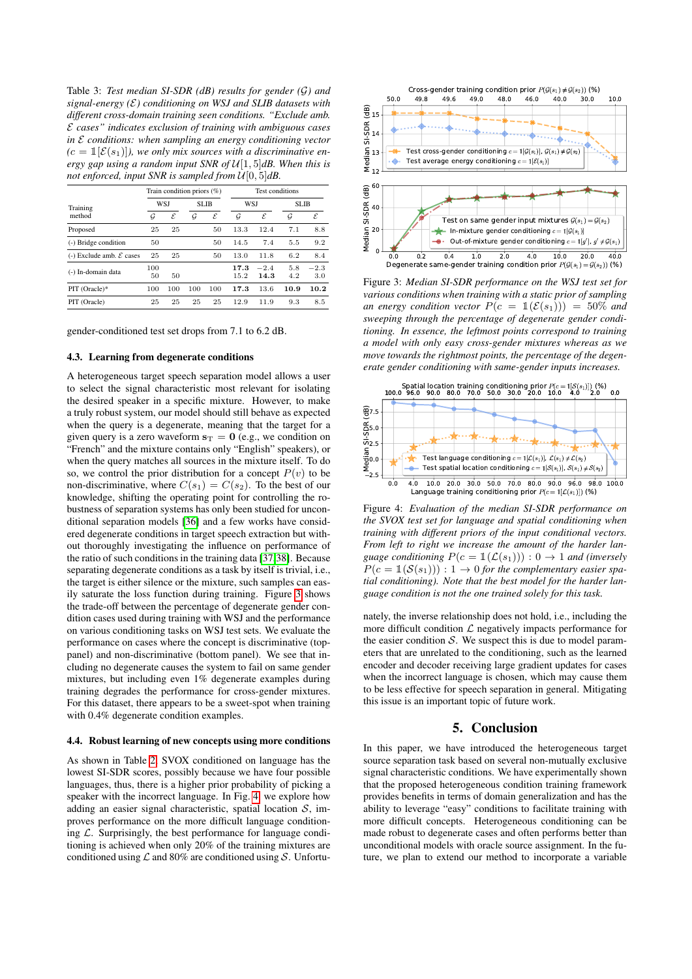<span id="page-3-1"></span>Table 3: *Test median SI-SDR (dB) results for gender (*G*) and signal-energy (*E*) conditioning on WSJ and SLIB datasets with different cross-domain training seen conditions. "Exclude amb.* E *cases" indicates exclusion of training with ambiguous cases in* E *conditions: when sampling an energy conditioning vector*  $(c = \mathbb{1}[\mathcal{E}(s_1)]$ , we only mix sources with a discriminative en*ergy gap using a random input SNR of* U[1, 5]*dB. When this is not enforced, input SNR is sampled from* U[0, 5]*dB.*

|                                       | Train condition priors $(\%)$ |     |              |     | Test conditions |                |             |               |
|---------------------------------------|-------------------------------|-----|--------------|-----|-----------------|----------------|-------------|---------------|
| Training                              | <b>WSJ</b>                    |     | <b>SLIB</b>  |     | <b>WSJ</b>      |                | <b>SLIB</b> |               |
| method                                | G                             | ε   | $\mathcal G$ | ε   | G               | ε              | G           | $\mathcal E$  |
| Proposed                              | 25                            | 25  |              | 50  | 13.3            | 12.4           | 7.1         | 8.8           |
| (-) Bridge condition                  | 50                            |     |              | 50  | 14.5            | 7.4            | 5.5         | 9.2           |
| $(-)$ Exclude amb. $\mathcal E$ cases | 25                            | 25  |              | 50  | 13.0            | 11.8           | 6.2         | 8.4           |
| (-) In-domain data                    | 100<br>50                     | 50  |              |     | 17.3<br>15.2    | $-2.4$<br>14.3 | 5.8<br>4.2  | $-2.3$<br>3.0 |
| PIT (Oracle)*                         | 100                           | 100 | 100          | 100 | 17.3            | 13.6           | 10.9        | 10.2          |
| PIT (Oracle)                          | 25                            | 25  | 25           | 25  | 12.9            | 11.9           | 9.3         | 8.5           |

gender-conditioned test set drops from 7.1 to 6.2 dB.

#### <span id="page-3-0"></span>4.3. Learning from degenerate conditions

A heterogeneous target speech separation model allows a user to select the signal characteristic most relevant for isolating the desired speaker in a specific mixture. However, to make a truly robust system, our model should still behave as expected when the query is a degenerate, meaning that the target for a given query is a zero waveform  $s_T = 0$  (e.g., we condition on "French" and the mixture contains only "English" speakers), or when the query matches all sources in the mixture itself. To do so, we control the prior distribution for a concept  $P(v)$  to be non-discriminative, where  $C(s_1) = C(s_2)$ . To the best of our knowledge, shifting the operating point for controlling the robustness of separation systems has only been studied for unconditional separation models [\[36\]](#page-4-27) and a few works have considered degenerate conditions in target speech extraction but without thoroughly investigating the influence on performance of the ratio of such conditions in the training data [\[37,](#page-4-28)[38\]](#page-4-29). Because separating degenerate conditions as a task by itself is trivial, i.e., the target is either silence or the mixture, such samples can easily saturate the loss function during training. Figure [3](#page-3-2) shows the trade-off between the percentage of degenerate gender condition cases used during training with WSJ and the performance on various conditioning tasks on WSJ test sets. We evaluate the performance on cases where the concept is discriminative (toppanel) and non-discriminative (bottom panel). We see that including no degenerate causes the system to fail on same gender mixtures, but including even 1% degenerate examples during training degrades the performance for cross-gender mixtures. For this dataset, there appears to be a sweet-spot when training with 0.4% degenerate condition examples.

#### 4.4. Robust learning of new concepts using more conditions

As shown in Table [2,](#page-2-0) SVOX conditioned on language has the lowest SI-SDR scores, possibly because we have four possible languages, thus, there is a higher prior probability of picking a speaker with the incorrect language. In Fig. [4,](#page-3-3) we explore how adding an easier signal characteristic, spatial location  $S$ , improves performance on the more difficult language conditioning  $\mathcal{L}$ . Surprisingly, the best performance for language conditioning is achieved when only 20% of the training mixtures are conditioned using  $\mathcal L$  and 80% are conditioned using  $\mathcal S$ . Unfortu-

<span id="page-3-2"></span>

Figure 3: *Median SI-SDR performance on the WSJ test set for various conditions when training with a static prior of sampling an energy condition vector*  $P(c = \mathbb{1}(\mathcal{E}(s_1))) = 50\%$  *and sweeping through the percentage of degenerate gender conditioning. In essence, the leftmost points correspond to training a model with only easy cross-gender mixtures whereas as we move towards the rightmost points, the percentage of the degenerate gender conditioning with same-gender inputs increases.*

<span id="page-3-3"></span>

Figure 4: *Evaluation of the median SI-SDR performance on the SVOX test set for language and spatial conditioning when training with different priors of the input conditional vectors. From left to right we increase the amount of the harder language conditioning*  $P(c = \mathbb{1}(\mathcal{L}(s_1))) : 0 \rightarrow 1$  *and (inversely*  $P(c = \mathbb{1}(\mathcal{S}(s_1))) : 1 \to 0$  for the complementary easier spa*tial conditioning). Note that the best model for the harder language condition is not the one trained solely for this task.*

nately, the inverse relationship does not hold, i.e., including the more difficult condition  $\mathcal L$  negatively impacts performance for the easier condition  $S$ . We suspect this is due to model parameters that are unrelated to the conditioning, such as the learned encoder and decoder receiving large gradient updates for cases when the incorrect language is chosen, which may cause them to be less effective for speech separation in general. Mitigating this issue is an important topic of future work.

# 5. Conclusion

In this paper, we have introduced the heterogeneous target source separation task based on several non-mutually exclusive signal characteristic conditions. We have experimentally shown that the proposed heterogeneous condition training framework provides benefits in terms of domain generalization and has the ability to leverage "easy" conditions to facilitate training with more difficult concepts. Heterogeneous conditioning can be made robust to degenerate cases and often performs better than unconditional models with oracle source assignment. In the future, we plan to extend our method to incorporate a variable